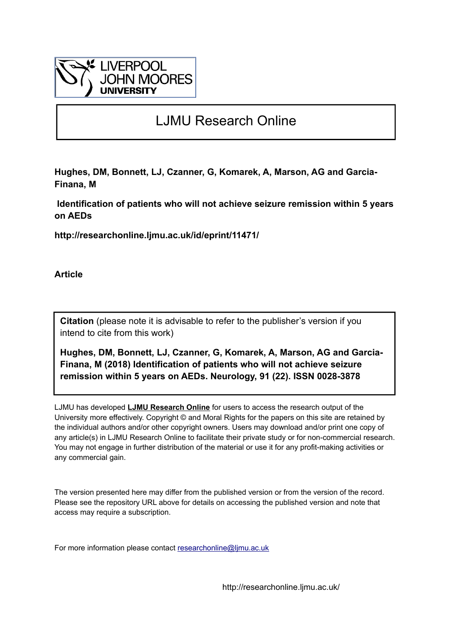

## LJMU Research Online

**Hughes, DM, Bonnett, LJ, Czanner, G, Komarek, A, Marson, AG and Garcia-Finana, M**

 **Identification of patients who will not achieve seizure remission within 5 years on AEDs**

**http://researchonline.ljmu.ac.uk/id/eprint/11471/**

**Article**

**Citation** (please note it is advisable to refer to the publisher's version if you intend to cite from this work)

**Hughes, DM, Bonnett, LJ, Czanner, G, Komarek, A, Marson, AG and Garcia-Finana, M (2018) Identification of patients who will not achieve seizure remission within 5 years on AEDs. Neurology, 91 (22). ISSN 0028-3878** 

LJMU has developed **[LJMU Research Online](http://researchonline.ljmu.ac.uk/)** for users to access the research output of the University more effectively. Copyright © and Moral Rights for the papers on this site are retained by the individual authors and/or other copyright owners. Users may download and/or print one copy of any article(s) in LJMU Research Online to facilitate their private study or for non-commercial research. You may not engage in further distribution of the material or use it for any profit-making activities or any commercial gain.

The version presented here may differ from the published version or from the version of the record. Please see the repository URL above for details on accessing the published version and note that access may require a subscription.

For more information please contact researchonline@limu.ac.uk

http://researchonline.ljmu.ac.uk/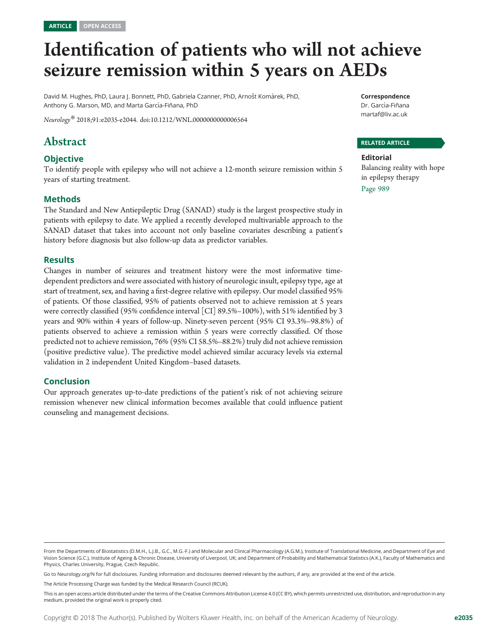# Identification of patients who will not achieve seizure remission within 5 years on AEDs

David M. Hughes, PhD, Laura J. Bonnett, PhD, Gabriela Czanner, PhD, Arnošt Komárek, PhD, Anthony G. Marson, MD, and Marta García-Fiñana, PhD

Neurology® 2018;91:e2035-e2044. doi[:10.1212/WNL.0000000000006564](http://dx.doi.org/10.1212/WNL.0000000000006564)

## Abstract

#### **Objective**

To identify people with epilepsy who will not achieve a 12-month seizure remission within 5 years of starting treatment.

#### Methods

The Standard and New Antiepileptic Drug (SANAD) study is the largest prospective study in patients with epilepsy to date. We applied a recently developed multivariable approach to the SANAD dataset that takes into account not only baseline covariates describing a patient's history before diagnosis but also follow-up data as predictor variables.

#### Results

Changes in number of seizures and treatment history were the most informative timedependent predictors and were associated with history of neurologic insult, epilepsy type, age at start of treatment, sex, and having a first-degree relative with epilepsy. Our model classified 95% of patients. Of those classified, 95% of patients observed not to achieve remission at 5 years were correctly classified (95% confidence interval [CI] 89.5%–100%), with 51% identified by 3 years and 90% within 4 years of follow-up. Ninety-seven percent (95% CI 93.3%–98.8%) of patients observed to achieve a remission within 5 years were correctly classified. Of those predicted not to achieve remission, 76% (95% CI 58.5%–88.2%) truly did not achieve remission (positive predictive value). The predictive model achieved similar accuracy levels via external validation in 2 independent United Kingdom–based datasets.

#### Conclusion

Our approach generates up-to-date predictions of the patient's risk of not achieving seizure remission whenever new clinical information becomes available that could influence patient counseling and management decisions.

Correspondence

Dr. García-Fiñana [martaf@liv.ac.uk](mailto:martaf@liv.ac.uk)

#### RELATED ARTICLE

Editorial Balancing reality with hope in epilepsy therapy Page 989

From the Departments of Biostatistics (D.M.H., L.J.B., G.C., M.G.-F.) and Molecular and Clinical Pharmacology (A.G.M.), Institute of Translational Medicine, and Department of Eye and Vision Science (G.C.), Institute of Ageing & Chronic Disease, University of Liverpool, UK; and Department of Probability and Mathematical Statistics (A.K.), Faculty of Mathematics and Physics, Charles University, Prague, Czech Republic.

Go to [Neurology.org/N](http://n.neurology.org/lookup/doi/10.1212/WNL.0000000000006564) for full disclosures. Funding information and disclosures deemed relevant by the authors, if any, are provided at the end of the article.

The Article Processing Charge was funded by the Medical Research Council (RCUK).

This is an open access article distributed under the terms of the [Creative Commons Attribution License 4.0 \(CC BY\),](http://creativecommons.org/licenses/by/4.0/) which permits unrestricted use, distribution, and reproduction in any medium, provided the original work is properly cited.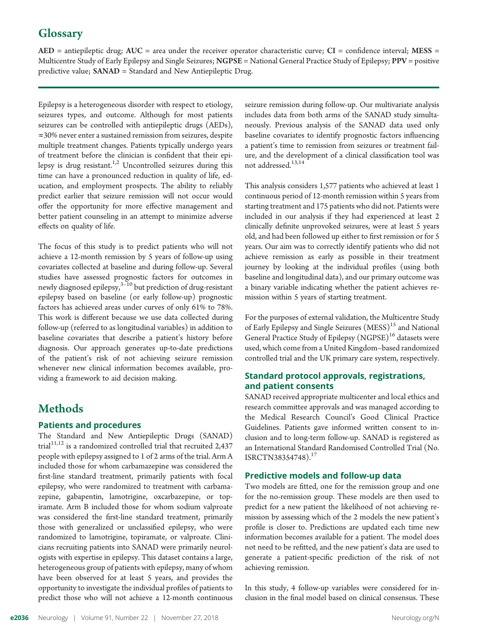## **Glossary**

 $AED =$  antiepileptic drug;  $AUC =$  area under the receiver operator characteristic curve;  $CI =$  confidence interval;  $MESS =$ Multicentre Study of Early Epilepsy and Single Seizures; NGPSE = National General Practice Study of Epilepsy; PPV = positive predictive value; SANAD = Standard and New Antiepileptic Drug.

Epilepsy is a heterogeneous disorder with respect to etiology, seizures types, and outcome. Although for most patients seizures can be controlled with antiepileptic drugs (AEDs), ≈30% never enter a sustained remission from seizures, despite multiple treatment changes. Patients typically undergo years of treatment before the clinician is confident that their epilepsy is drug resistant.<sup>1,2</sup> Uncontrolled seizures during this time can have a pronounced reduction in quality of life, education, and employment prospects. The ability to reliably predict earlier that seizure remission will not occur would offer the opportunity for more effective management and better patient counseling in an attempt to minimize adverse effects on quality of life.

The focus of this study is to predict patients who will not achieve a 12-month remission by 5 years of follow-up using covariates collected at baseline and during follow-up. Several studies have assessed prognostic factors for outcomes in newly diagnosed epilepsy,<sup>3-10</sup> but prediction of drug-resistant epilepsy based on baseline (or early follow-up) prognostic factors has achieved areas under curves of only 61% to 78%. This work is different because we use data collected during follow-up (referred to as longitudinal variables) in addition to baseline covariates that describe a patient's history before diagnosis. Our approach generates up-to-date predictions of the patient's risk of not achieving seizure remission whenever new clinical information becomes available, providing a framework to aid decision making.

## **Methods**

#### Patients and procedures

The Standard and New Antiepileptic Drugs (SANAD) trial $11,12$  is a randomized controlled trial that recruited 2,437 people with epilepsy assigned to 1 of 2 arms of the trial. Arm A included those for whom carbamazepine was considered the first-line standard treatment, primarily patients with focal epilepsy, who were randomized to treatment with carbamazepine, gabapentin, lamotrigine, oxcarbazepine, or topiramate. Arm B included those for whom sodium valproate was considered the first-line standard treatment, primarily those with generalized or unclassified epilepsy, who were randomized to lamotrigine, topiramate, or valproate. Clinicians recruiting patients into SANAD were primarily neurologists with expertise in epilepsy. This dataset contains a large, heterogeneous group of patients with epilepsy, many of whom have been observed for at least 5 years, and provides the opportunity to investigate the individual profiles of patients to predict those who will not achieve a 12-month continuous seizure remission during follow-up. Our multivariate analysis includes data from both arms of the SANAD study simultaneously. Previous analysis of the SANAD data used only baseline covariates to identify prognostic factors influencing a patient's time to remission from seizures or treatment failure, and the development of a clinical classification tool was not addressed.<sup>13,14</sup>

This analysis considers 1,577 patients who achieved at least 1 continuous period of 12-month remission within 5 years from starting treatment and 175 patients who did not. Patients were included in our analysis if they had experienced at least 2 clinically definite unprovoked seizures, were at least 5 years old, and had been followed up either to first remission or for 5 years. Our aim was to correctly identify patients who did not achieve remission as early as possible in their treatment journey by looking at the individual profiles (using both baseline and longitudinal data), and our primary outcome was a binary variable indicating whether the patient achieves remission within 5 years of starting treatment.

For the purposes of external validation, the Multicentre Study of Early Epilepsy and Single Seizures (MESS)<sup>15</sup> and National General Practice Study of Epilepsy (NGPSE)<sup>16</sup> datasets were used, which come from a United Kingdom–based randomized controlled trial and the UK primary care system, respectively.

#### Standard protocol approvals, registrations, and patient consents

SANAD received appropriate multicenter and local ethics and research committee approvals and was managed according to the Medical Research Council's Good Clinical Practice Guidelines. Patients gave informed written consent to inclusion and to long-term follow-up. SANAD is registered as an International Standard Randomised Controlled Trial (No. ISRCTN38354748).<sup>17</sup>

#### Predictive models and follow-up data

Two models are fitted, one for the remission group and one for the no-remission group. These models are then used to predict for a new patient the likelihood of not achieving remission by assessing which of the 2 models the new patient's profile is closer to. Predictions are updated each time new information becomes available for a patient. The model does not need to be refitted, and the new patient's data are used to generate a patient-specific prediction of the risk of not achieving remission.

In this study, 4 follow-up variables were considered for inclusion in the final model based on clinical consensus. These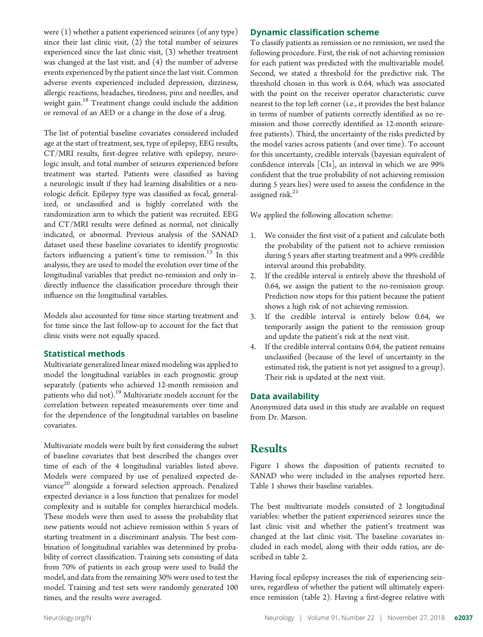were (1) whether a patient experienced seizures (of any type) since their last clinic visit, (2) the total number of seizures experienced since the last clinic visit, (3) whether treatment was changed at the last visit, and (4) the number of adverse events experienced by the patient since the last visit. Common adverse events experienced included depression, dizziness, allergic reactions, headaches, tiredness, pins and needles, and weight gain.<sup>18</sup> Treatment change could include the addition or removal of an AED or a change in the dose of a drug.

The list of potential baseline covariates considered included age at the start of treatment, sex, type of epilepsy, EEG results, CT/MRI results, first-degree relative with epilepsy, neurologic insult, and total number of seizures experienced before treatment was started. Patients were classified as having a neurologic insult if they had learning disabilities or a neurologic deficit. Epilepsy type was classified as focal, generalized, or unclassified and is highly correlated with the randomization arm to which the patient was recruited. EEG and CT/MRI results were defined as normal, not clinically indicated, or abnormal. Previous analysis of the SANAD dataset used these baseline covariates to identify prognostic factors influencing a patient's time to remission.<sup>13</sup> In this analysis, they are used to model the evolution over time of the longitudinal variables that predict no-remission and only indirectly influence the classification procedure through their influence on the longitudinal variables.

Models also accounted for time since starting treatment and for time since the last follow-up to account for the fact that clinic visits were not equally spaced.

#### Statistical methods

Multivariate generalized linear mixed modeling was applied to model the longitudinal variables in each prognostic group separately (patients who achieved 12-month remission and patients who did not).19 Multivariate models account for the correlation between repeated measurements over time and for the dependence of the longitudinal variables on baseline covariates.

Multivariate models were built by first considering the subset of baseline covariates that best described the changes over time of each of the 4 longitudinal variables listed above. Models were compared by use of penalized expected deviance<sup>20</sup> alongside a forward selection approach. Penalized expected deviance is a loss function that penalizes for model complexity and is suitable for complex hierarchical models. These models were then used to assess the probability that new patients would not achieve remission within 5 years of starting treatment in a discriminant analysis. The best combination of longitudinal variables was determined by probability of correct classification. Training sets consisting of data from 70% of patients in each group were used to build the model, and data from the remaining 30% were used to test the model. Training and test sets were randomly generated 100 times, and the results were averaged.

To classify patients as remission or no remission, we used the following procedure. First, the risk of not achieving remission for each patient was predicted with the multivariable model. Second, we stated a threshold for the predictive risk. The threshold chosen in this work is 0.64, which was associated with the point on the receiver operator characteristic curve nearest to the top left corner (i.e., it provides the best balance in terms of number of patients correctly identified as no remission and those correctly identified as 12-month seizurefree patients). Third, the uncertainty of the risks predicted by the model varies across patients (and over time). To account for this uncertainty, credible intervals (bayesian equivalent of confidence intervals [CIs], an interval in which we are 99% confident that the true probability of not achieving remission during 5 years lies) were used to assess the confidence in the assigned risk.<sup>21</sup>

We applied the following allocation scheme:

- 1. We consider the first visit of a patient and calculate both the probability of the patient not to achieve remission during 5 years after starting treatment and a 99% credible interval around this probability.
- 2. If the credible interval is entirely above the threshold of 0.64, we assign the patient to the no-remission group. Prediction now stops for this patient because the patient shows a high risk of not achieving remission.
- 3. If the credible interval is entirely below 0.64, we temporarily assign the patient to the remission group and update the patient's risk at the next visit.
- 4. If the credible interval contains 0.64, the patient remains unclassified (because of the level of uncertainty in the estimated risk, the patient is not yet assigned to a group). Their risk is updated at the next visit.

#### Data availability

Anonymized data used in this study are available on request from Dr. Marson.

## Results

Figure 1 shows the disposition of patients recruited to SANAD who were included in the analyses reported here. Table 1 shows their baseline variables.

The best multivariate models consisted of 2 longitudinal variables: whether the patient experienced seizures since the last clinic visit and whether the patient's treatment was changed at the last clinic visit. The baseline covariates included in each model, along with their odds ratios, are described in table 2.

Having focal epilepsy increases the risk of experiencing seizures, regardless of whether the patient will ultimately experience remission (table 2). Having a first-degree relative with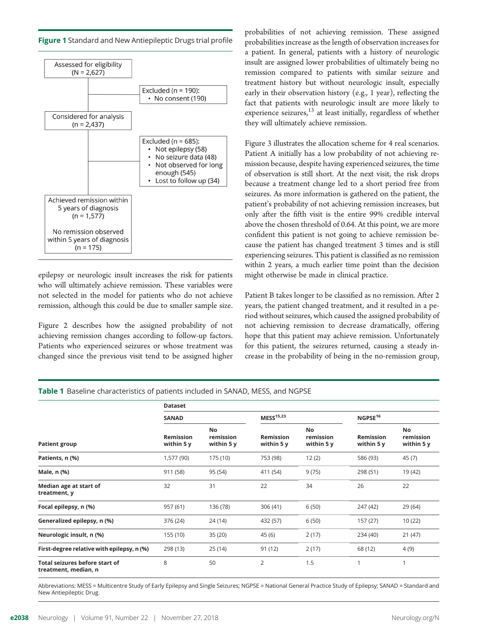Figure 1 Standard and New Antiepileptic Drugs trial profile



epilepsy or neurologic insult increases the risk for patients who will ultimately achieve remission. These variables were not selected in the model for patients who do not achieve remission, although this could be due to smaller sample size.

Figure 2 describes how the assigned probability of not achieving remission changes according to follow-up factors. Patients who experienced seizures or whose treatment was changed since the previous visit tend to be assigned higher probabilities of not achieving remission. These assigned probabilities increase as the length of observation increases for a patient. In general, patients with a history of neurologic insult are assigned lower probabilities of ultimately being no remission compared to patients with similar seizure and treatment history but without neurologic insult, especially early in their observation history (e.g., 1 year), reflecting the fact that patients with neurologic insult are more likely to experience seizures, $^{13}$  at least initially, regardless of whether they will ultimately achieve remission.

Figure 3 illustrates the allocation scheme for 4 real scenarios. Patient A initially has a low probability of not achieving remission because, despite having experienced seizures, the time of observation is still short. At the next visit, the risk drops because a treatment change led to a short period free from seizures. As more information is gathered on the patient, the patient's probability of not achieving remission increases, but only after the fifth visit is the entire 99% credible interval above the chosen threshold of 0.64. At this point, we are more confident this patient is not going to achieve remission because the patient has changed treatment 3 times and is still experiencing seizures. This patient is classified as no remission within 2 years, a much earlier time point than the decision might otherwise be made in clinical practice.

Patient B takes longer to be classified as no remission. After 2 years, the patient changed treatment, and it resulted in a period without seizures, which caused the assigned probability of not achieving remission to decrease dramatically, offering hope that this patient may achieve remission. Unfortunately for this patient, the seizures returned, causing a steady increase in the probability of being in the no-remission group,

Table 1 Baseline characteristics of patients included in SANAD, MESS, and NGPSE

|                                                        | <b>Dataset</b>                 |                                      |                                |                                      |                                |                               |  |
|--------------------------------------------------------|--------------------------------|--------------------------------------|--------------------------------|--------------------------------------|--------------------------------|-------------------------------|--|
|                                                        | <b>SANAD</b>                   |                                      | $MESS^{15,23}$                 |                                      | NGPSE <sup>16</sup>            |                               |  |
| <b>Patient group</b>                                   | <b>Remission</b><br>within 5 y | <b>No</b><br>remission<br>within 5 y | <b>Remission</b><br>within 5 y | <b>No</b><br>remission<br>within 5 y | <b>Remission</b><br>within 5 y | No<br>remission<br>within 5 y |  |
| Patients, n (%)                                        | 1,577 (90)                     | 175 (10)                             | 753 (98)                       | 12(2)                                | 586 (93)                       | 45(7)                         |  |
| Male, n (%)                                            | 911 (58)                       | 95 (54)                              | 411 (54)                       | 9(75)                                | 298 (51)                       | 19 (42)                       |  |
| Median age at start of<br>treatment, y                 | 32                             | 31                                   | 22                             | 34                                   | 26                             | 22                            |  |
| Focal epilepsy, n (%)                                  | 957 (61)                       | 136 (78)                             | 306 (41)                       | 6(50)                                | 247 (42)                       | 29 (64)                       |  |
| Generalized epilepsy, n (%)                            | 376 (24)                       | 24 (14)                              | 432 (57)                       | 6(50)                                | 157 (27)                       | 10(22)                        |  |
| Neurologic insult, n (%)                               | 155 (10)                       | 35(20)                               | 45 (6)                         | 2(17)                                | 234 (40)                       | 21(47)                        |  |
| First-degree relative with epilepsy, n (%)             | 298 (13)                       | 25(14)                               | 91 (12)                        | 2(17)                                | 68 (12)                        | 4 (9)                         |  |
| Total seizures before start of<br>treatment, median, n | 8                              | 50                                   | $\overline{2}$                 | 1.5                                  | $\mathbf{1}$                   | 1                             |  |

Abbreviations: MESS = Multicentre Study of Early Epilepsy and Single Seizures; NGPSE = National General Practice Study of Epilepsy; SANAD = Standard and New Antiepileptic Drug.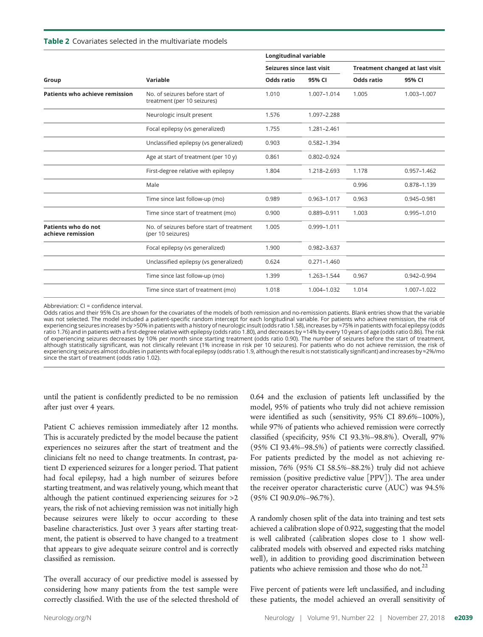#### Table 2 Covariates selected in the multivariate models

|                                          |                                                                | <b>Longitudinal variable</b> |                 |                                 |                 |  |
|------------------------------------------|----------------------------------------------------------------|------------------------------|-----------------|---------------------------------|-----------------|--|
|                                          |                                                                | Seizures since last visit    |                 | Treatment changed at last visit |                 |  |
| Group                                    | Variable                                                       | <b>Odds ratio</b>            | 95% CI          | <b>Odds ratio</b>               | 95% CI          |  |
| <b>Patients who achieve remission</b>    | No. of seizures before start of<br>treatment (per 10 seizures) | 1.010                        | 1.007-1.014     | 1.005                           | 1.003-1.007     |  |
|                                          | Neurologic insult present                                      | 1.576                        | 1.097-2.288     |                                 |                 |  |
|                                          | Focal epilepsy (vs generalized)                                | 1.755                        | 1.281-2.461     |                                 |                 |  |
|                                          | Unclassified epilepsy (vs generalized)                         | 0.903                        | 0.582-1.394     |                                 |                 |  |
|                                          | Age at start of treatment (per 10 y)                           | 0.861                        | 0.802-0.924     |                                 |                 |  |
|                                          | First-degree relative with epilepsy                            | 1.804                        | 1.218-2.693     | 1.178                           | $0.957 - 1.462$ |  |
|                                          | Male                                                           |                              |                 | 0.996                           | 0.878-1.139     |  |
|                                          | Time since last follow-up (mo)                                 | 0.989                        | $0.963 - 1.017$ | 0.963                           | 0.945-0.981     |  |
|                                          | Time since start of treatment (mo)                             | 0.900                        | 0.889-0.911     | 1.003                           | 0.995-1.010     |  |
| Patients who do not<br>achieve remission | No. of seizures before start of treatment<br>(per 10 seizures) | 1.005                        | 0.999-1.011     |                                 |                 |  |
|                                          | Focal epilepsy (vs generalized)                                | 1.900                        | 0.982-3.637     |                                 |                 |  |
|                                          | Unclassified epilepsy (vs generalized)                         | 0.624                        | $0.271 - 1.460$ |                                 |                 |  |
|                                          | Time since last follow-up (mo)                                 | 1.399                        | 1.263-1.544     | 0.967                           | 0.942-0.994     |  |
|                                          | Time since start of treatment (mo)                             | 1.018                        | 1.004-1.032     | 1.014                           | 1.007-1.022     |  |

Abbreviation: CI = confidence interval.

Odds ratios and their 95% CIs are shown for the covariates of the models of both remission and no-remission patients. Blank entries show that the variable was not selected. The model included a patient-specific random intercept for each longitudinal variable. For patients who achieve remission, the risk of experiencing seizures increases by >50% in patients with a history of neurologic insult (odds ratio 1.58), increases by ≈75% in patients with focal epilepsy (odds ratio 1.76) and in patients with a first-degree relative with epilepsy (odds ratio 1.80), and decreases by≈14% by every 10 years of age (odds ratio 0.86). The risk<br>of experiencing seizures decreases by 10% per month since although statistically significant, was not clinically relevant (1% increase in risk per 10 seizures). For patients who do not achieve remission, the risk of experiencing seizures almost doubles in patients with focal epilepsy (odds ratio 1.9, although the result is not statistically significant) and increases by ≈2%/mo since the start of treatment (odds ratio 1.02).

until the patient is confidently predicted to be no remission after just over 4 years.

Patient C achieves remission immediately after 12 months. This is accurately predicted by the model because the patient experiences no seizures after the start of treatment and the clinicians felt no need to change treatments. In contrast, patient D experienced seizures for a longer period. That patient had focal epilepsy, had a high number of seizures before starting treatment, and was relatively young, which meant that although the patient continued experiencing seizures for >2 years, the risk of not achieving remission was not initially high because seizures were likely to occur according to these baseline characteristics. Just over 3 years after starting treatment, the patient is observed to have changed to a treatment that appears to give adequate seizure control and is correctly classified as remission.

The overall accuracy of our predictive model is assessed by considering how many patients from the test sample were correctly classified. With the use of the selected threshold of 0.64 and the exclusion of patients left unclassified by the model, 95% of patients who truly did not achieve remission were identified as such (sensitivity, 95% CI 89.6%–100%), while 97% of patients who achieved remission were correctly classified (specificity, 95% CI 93.3%–98.8%). Overall, 97% (95% CI 93.4%–98.5%) of patients were correctly classified. For patients predicted by the model as not achieving remission, 76% (95% CI 58.5%–88.2%) truly did not achieve remission (positive predictive value [PPV]). The area under the receiver operator characteristic curve (AUC) was 94.5% (95% CI 90.9.0%–96.7%).

A randomly chosen split of the data into training and test sets achieved a calibration slope of 0.922, suggesting that the model is well calibrated (calibration slopes close to 1 show wellcalibrated models with observed and expected risks matching well), in addition to providing good discrimination between patients who achieve remission and those who do not.<sup>22</sup>

Five percent of patients were left unclassified, and including these patients, the model achieved an overall sensitivity of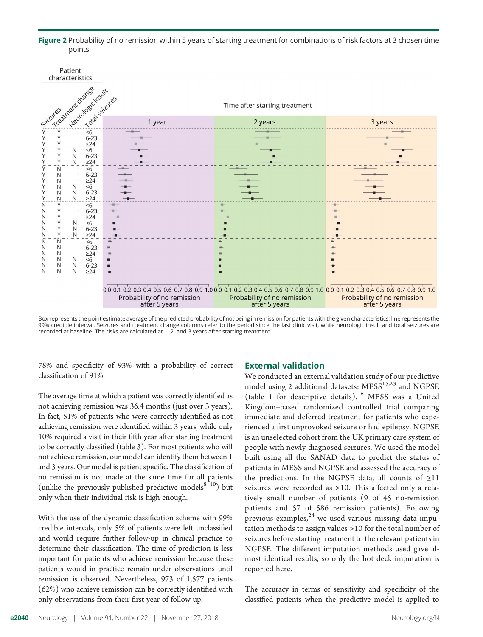Figure 2 Probability of no remission within 5 years of starting treatment for combinations of risk factors at 3 chosen time points



Box represents the point estimate average of the predicted probability of not being in remission for patients with the given characteristics; line represents the 99% credible interval. Seizures and treatment change columns refer to the period since the last clinic visit, while neurologic insult and total seizures are recorded at baseline. The risks are calculated at 1, 2, and 3 years after starting treatment.

78% and specificity of 93% with a probability of correct classification of 91%.

The average time at which a patient was correctly identified as not achieving remission was 36.4 months (just over 3 years). In fact, 51% of patients who were correctly identified as not achieving remission were identified within 3 years, while only 10% required a visit in their fifth year after starting treatment to be correctly classified (table 3). For most patients who will not achieve remission, our model can identify them between 1 and 3 years. Our model is patient specific. The classification of no remission is not made at the same time for all patients (unlike the previously published predictive models $8-10$ ) but only when their individual risk is high enough.

With the use of the dynamic classification scheme with 99% credible intervals, only 5% of patients were left unclassified and would require further follow-up in clinical practice to determine their classification. The time of prediction is less important for patients who achieve remission because these patients would in practice remain under observations until remission is observed. Nevertheless, 973 of 1,577 patients (62%) who achieve remission can be correctly identified with only observations from their first year of follow-up.

#### External validation

We conducted an external validation study of our predictive model using 2 additional datasets: MESS<sup>15,23</sup> and NGPSE (table 1 for descriptive details).<sup>16</sup> MESS was a United Kingdom–based randomized controlled trial comparing immediate and deferred treatment for patients who experienced a first unprovoked seizure or had epilepsy. NGPSE is an unselected cohort from the UK primary care system of people with newly diagnosed seizures. We used the model built using all the SANAD data to predict the status of patients in MESS and NGPSE and assessed the accuracy of the predictions. In the NGPSE data, all counts of  $\geq 11$ seizures were recorded as >10. This affected only a relatively small number of patients (9 of 45 no-remission patients and 57 of 586 remission patients). Following previous examples, $24$  we used various missing data imputation methods to assign values >10 for the total number of seizures before starting treatment to the relevant patients in NGPSE. The different imputation methods used gave almost identical results, so only the hot deck imputation is reported here.

The accuracy in terms of sensitivity and specificity of the classified patients when the predictive model is applied to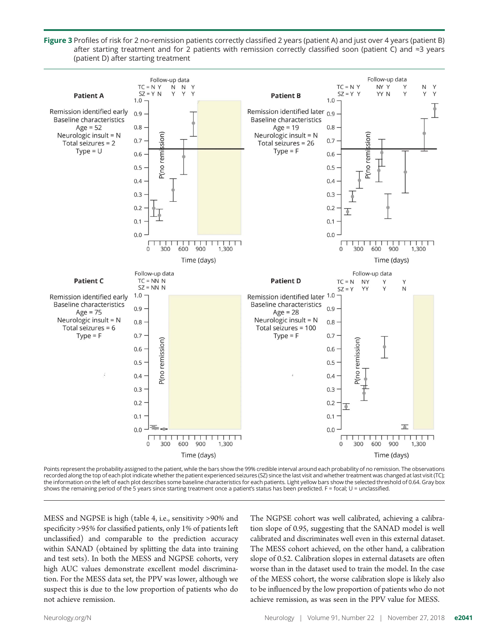Figure 3 Profiles of risk for 2 no-remission patients correctly classified 2 years (patient A) and just over 4 years (patient B) after starting treatment and for 2 patients with remission correctly classified soon (patient C) and ≈3 years (patient D) after starting treatment



Points represent the probability assigned to the patient, while the bars show the 99% credible interval around each probability of no remission. The observations recorded along the top of each plot indicate whether the patient experienced seizures (SZ) since the last visit and whether treatment was changed at last visit (TC); the information on the left of each plot describes some baseline characteristics for each patients. Light yellow bars show the selected threshold of 0.64. Gray box shows the remaining period of the 5 years since starting treatment once a patient's status has been predicted. F = focal; U = unclassified.

MESS and NGPSE is high (table 4, i.e., sensitivity >90% and specificity >95% for classified patients, only 1% of patients left unclassified) and comparable to the prediction accuracy within SANAD (obtained by splitting the data into training and test sets). In both the MESS and NGPSE cohorts, very high AUC values demonstrate excellent model discrimination. For the MESS data set, the PPV was lower, although we suspect this is due to the low proportion of patients who do not achieve remission.

The NGPSE cohort was well calibrated, achieving a calibration slope of 0.95, suggesting that the SANAD model is well calibrated and discriminates well even in this external dataset. The MESS cohort achieved, on the other hand, a calibration slope of 0.52. Calibration slopes in external datasets are often worse than in the dataset used to train the model. In the case of the MESS cohort, the worse calibration slope is likely also to be influenced by the low proportion of patients who do not achieve remission, as was seen in the PPV value for MESS.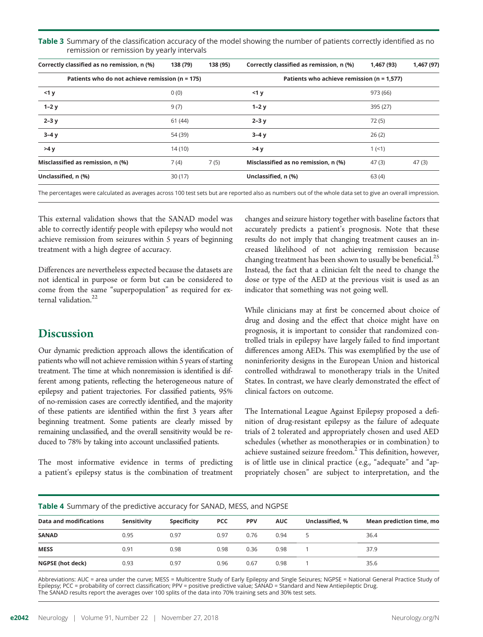Table 3 Summary of the classification accuracy of the model showing the number of patients correctly identified as no remission or remission by yearly intervals

| Correctly classified as no remission, n (%)     | 138 (79) | 138 (95) | Correctly classified as remission, n (%)       | 1,467 (93) | 1,467 (97) |  |
|-------------------------------------------------|----------|----------|------------------------------------------------|------------|------------|--|
| Patients who do not achieve remission (n = 175) |          |          | Patients who achieve remission ( $n = 1.577$ ) |            |            |  |
| <1y                                             | 0(0)     |          | <1y                                            | 973 (66)   |            |  |
| $1-2y$                                          | 9(7)     |          | $1-2y$                                         | 395 (27)   |            |  |
| $2-3y$                                          | 61(44)   |          | $2-3y$                                         | 72(5)      |            |  |
| $3-4y$                                          | 54 (39)  |          | $3-4y$                                         | 26(2)      |            |  |
| >4y                                             | 14(10)   |          | $>4$ y                                         | 1(1)       |            |  |
| Misclassified as remission, n (%)               | 7(4)     | 7(5)     | Misclassified as no remission, n (%)           | 47(3)      | 47(3)      |  |
| Unclassified, n (%)                             | 30(17)   |          | Unclassified, n (%)                            | 63(4)      |            |  |
|                                                 |          |          |                                                |            |            |  |

The percentages were calculated as averages across 100 test sets but are reported also as numbers out of the whole data set to give an overall impression.

This external validation shows that the SANAD model was able to correctly identify people with epilepsy who would not achieve remission from seizures within 5 years of beginning treatment with a high degree of accuracy.

Differences are nevertheless expected because the datasets are not identical in purpose or form but can be considered to come from the same "superpopulation" as required for external validation.<sup>22</sup>

### **Discussion**

Our dynamic prediction approach allows the identification of patients who will not achieve remission within 5 years of starting treatment. The time at which nonremission is identified is different among patients, reflecting the heterogeneous nature of epilepsy and patient trajectories. For classified patients, 95% of no-remission cases are correctly identified, and the majority of these patients are identified within the first 3 years after beginning treatment. Some patients are clearly missed by remaining unclassified, and the overall sensitivity would be reduced to 78% by taking into account unclassified patients.

The most informative evidence in terms of predicting a patient's epilepsy status is the combination of treatment changes and seizure history together with baseline factors that accurately predicts a patient's prognosis. Note that these results do not imply that changing treatment causes an increased likelihood of not achieving remission because changing treatment has been shown to usually be beneficial.<sup>25</sup> Instead, the fact that a clinician felt the need to change the dose or type of the AED at the previous visit is used as an indicator that something was not going well.

While clinicians may at first be concerned about choice of drug and dosing and the effect that choice might have on prognosis, it is important to consider that randomized controlled trials in epilepsy have largely failed to find important differences among AEDs. This was exemplified by the use of noninferiority designs in the European Union and historical controlled withdrawal to monotherapy trials in the United States. In contrast, we have clearly demonstrated the effect of clinical factors on outcome.

The International League Against Epilepsy proposed a definition of drug-resistant epilepsy as the failure of adequate trials of 2 tolerated and appropriately chosen and used AED schedules (whether as monotherapies or in combination) to achieve sustained seizure freedom.<sup>2</sup> This definition, however, is of little use in clinical practice (e.g., "adequate" and "appropriately chosen" are subject to interpretation, and the

| <b>Table 4</b> Summary of the predictive accuracy for SANAD, MESS, and NGPSE |             |                    |            |            |            |                 |                          |
|------------------------------------------------------------------------------|-------------|--------------------|------------|------------|------------|-----------------|--------------------------|
| Data and modifications                                                       | Sensitivity | <b>Specificity</b> | <b>PCC</b> | <b>PPV</b> | <b>AUC</b> | Unclassified, % | Mean prediction time, mo |
| <b>SANAD</b>                                                                 | 0.95        | 0.97               | 0.97       | 0.76       | 0.94       |                 | 36.4                     |
| <b>MESS</b>                                                                  | 0.91        | 0.98               | 0.98       | 0.36       | 0.98       |                 | 37.9                     |
| <b>NGPSE</b> (hot deck)                                                      | 0.93        | 0.97               | 0.96       | 0.67       | 0.98       |                 | 35.6                     |

Abbreviations: AUC = area under the curve; MESS = Multicentre Study of Early Epilepsy and Single Seizures; NGPSE = National General Practice Study of Epilepsy; PCC = probability of correct classification; PPV = positive predictive value; SANAD = Standard and New Antiepileptic Drug. The SANAD results report the averages over 100 splits of the data into 70% training sets and 30% test sets.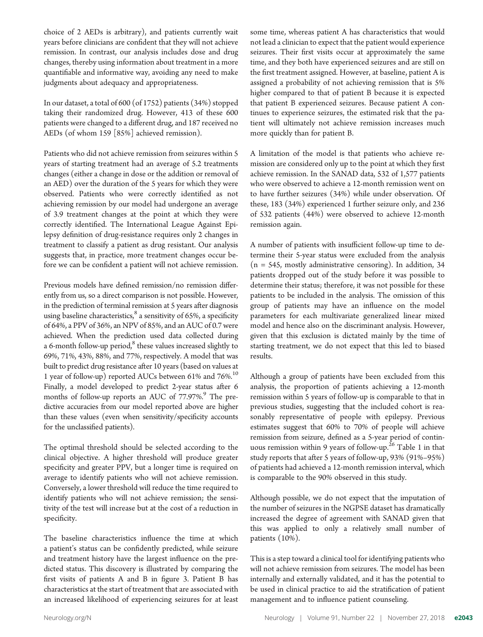choice of 2 AEDs is arbitrary), and patients currently wait years before clinicians are confident that they will not achieve remission. In contrast, our analysis includes dose and drug changes, thereby using information about treatment in a more quantifiable and informative way, avoiding any need to make judgments about adequacy and appropriateness.

In our dataset, a total of 600 (of 1752) patients (34%) stopped taking their randomized drug. However, 413 of these 600 patients were changed to a different drug, and 187 received no AEDs (of whom 159 [85%] achieved remission).

Patients who did not achieve remission from seizures within 5 years of starting treatment had an average of 5.2 treatments changes (either a change in dose or the addition or removal of an AED) over the duration of the 5 years for which they were observed. Patients who were correctly identified as not achieving remission by our model had undergone an average of 3.9 treatment changes at the point at which they were correctly identified. The International League Against Epilepsy definition of drug-resistance requires only 2 changes in treatment to classify a patient as drug resistant. Our analysis suggests that, in practice, more treatment changes occur before we can be confident a patient will not achieve remission.

Previous models have defined remission/no remission differently from us, so a direct comparison is not possible. However, in the prediction of terminal remission at 5 years after diagnosis using baseline characteristics, $8^8$  a sensitivity of 65%, a specificity of 64%, a PPV of 36%, an NPV of 85%, and an AUC of 0.7 were achieved. When the prediction used data collected during a 6-month follow-up period,<sup>8</sup> these values increased slightly to 69%, 71%, 43%, 88%, and 77%, respectively. A model that was built to predict drug resistance after 10 years (based on values at 1 year of follow-up) reported AUCs between 61% and 76%.<sup>10</sup> Finally, a model developed to predict 2-year status after 6 months of follow-up reports an AUC of 77.97%.<sup>9</sup> The predictive accuracies from our model reported above are higher than these values (even when sensitivity/specificity accounts for the unclassified patients).

The optimal threshold should be selected according to the clinical objective. A higher threshold will produce greater specificity and greater PPV, but a longer time is required on average to identify patients who will not achieve remission. Conversely, a lower threshold will reduce the time required to identify patients who will not achieve remission; the sensitivity of the test will increase but at the cost of a reduction in specificity.

The baseline characteristics influence the time at which a patient's status can be confidently predicted, while seizure and treatment history have the largest influence on the predicted status. This discovery is illustrated by comparing the first visits of patients A and B in figure 3. Patient B has characteristics at the start of treatment that are associated with an increased likelihood of experiencing seizures for at least some time, whereas patient A has characteristics that would not lead a clinician to expect that the patient would experience seizures. Their first visits occur at approximately the same time, and they both have experienced seizures and are still on the first treatment assigned. However, at baseline, patient A is assigned a probability of not achieving remission that is 5% higher compared to that of patient B because it is expected that patient B experienced seizures. Because patient A continues to experience seizures, the estimated risk that the patient will ultimately not achieve remission increases much more quickly than for patient B.

A limitation of the model is that patients who achieve remission are considered only up to the point at which they first achieve remission. In the SANAD data, 532 of 1,577 patients who were observed to achieve a 12-month remission went on to have further seizures (34%) while under observation. Of these, 183 (34%) experienced 1 further seizure only, and 236 of 532 patients (44%) were observed to achieve 12-month remission again.

A number of patients with insufficient follow-up time to determine their 5-year status were excluded from the analysis (n = 545, mostly administrative censoring). In addition, 34 patients dropped out of the study before it was possible to determine their status; therefore, it was not possible for these patients to be included in the analysis. The omission of this group of patients may have an influence on the model parameters for each multivariate generalized linear mixed model and hence also on the discriminant analysis. However, given that this exclusion is dictated mainly by the time of starting treatment, we do not expect that this led to biased results.

Although a group of patients have been excluded from this analysis, the proportion of patients achieving a 12-month remission within 5 years of follow-up is comparable to that in previous studies, suggesting that the included cohort is reasonably representative of people with epilepsy. Previous estimates suggest that 60% to 70% of people will achieve remission from seizure, defined as a 5-year period of continuous remission within 9 years of follow-up.<sup>26</sup> Table 1 in that study reports that after 5 years of follow-up, 93% (91%–95%) of patients had achieved a 12-month remission interval, which is comparable to the 90% observed in this study.

Although possible, we do not expect that the imputation of the number of seizures in the NGPSE dataset has dramatically increased the degree of agreement with SANAD given that this was applied to only a relatively small number of patients (10%).

This is a step toward a clinical tool for identifying patients who will not achieve remission from seizures. The model has been internally and externally validated, and it has the potential to be used in clinical practice to aid the stratification of patient management and to influence patient counseling.